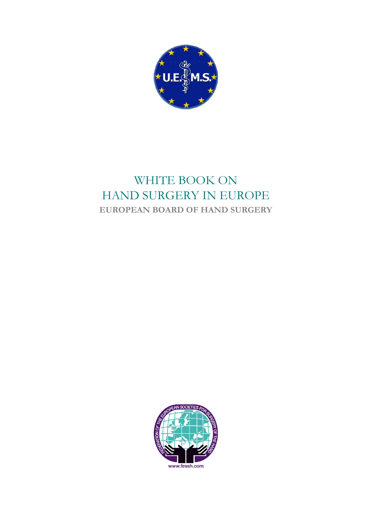

# WHITE BOOK ON HAND SURGERY IN EUROPE **EUROPEAN BOARD OF HAND SURGERY**

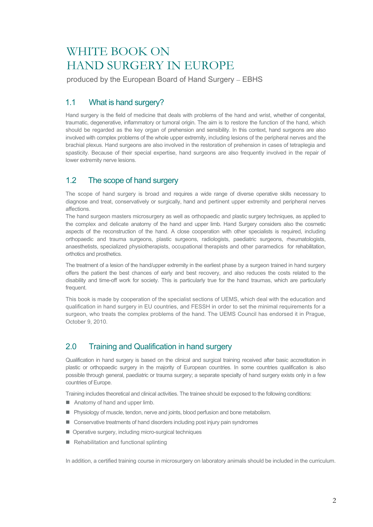# WHITE BOOK ON HAND SURGERY IN EUROPE

produced by the European Board of Hand Surgery – EBHS

# 1.1 What is hand surgery?

Hand surgery is the field of medicine that deals with problems of the hand and wrist, whether of congenital, traumatic, degenerative, inflammatory or tumoral origin. The aim is to restore the function of the hand, which should be regarded as the key organ of prehension and sensibility. In this context, hand surgeons are also involved with complex problems of the whole upper extremity, including lesions of the peripheral nerves and the brachial plexus. Hand surgeons are also involved in the restoration of prehension in cases of tetraplegia and spasticity. Because of their special expertise, hand surgeons are also frequently involved in the repair of lower extremity nerve lesions.

# 1.2 The scope of hand surgery

The scope of hand surgery is broad and requires a wide range of diverse operative skills necessary to diagnose and treat, conservatively or surgically, hand and pertinent upper extremity and peripheral nerves affections.

The hand surgeon masters microsurgery as well as orthopaedic and plastic surgery techniques, as applied to the complex and delicate anatomy of the hand and upper limb. Hand Surgery considers also the cosmetic aspects of the reconstruction of the hand. A close cooperation with other specialists is required, including orthopaedic and trauma surgeons, plastic surgeons, radiologists, paediatric surgeons, rheumatologists, anaesthetists, specialized physiotherapists, occupational therapists and other paramedics for rehabilitation, orthotics and prosthetics.

The treatment of a lesion of the hand/upper extremity in the earliest phase by a surgeon trained in hand surgery offers the patient the best chances of early and best recovery, and also reduces the costs related to the disability and time-off work for society. This is particularly true for the hand traumas, which are particularly frequent.

This book is made by cooperation of the specialist sections of UEMS, which deal with the education and qualification in hand surgery in EU countries, and FESSH in order to set the minimal requirements for a surgeon, who treats the complex problems of the hand. The UEMS Council has endorsed it in Prague, October 9, 2010.

# 2.0 Training and Qualification in hand surgery

Qualification in hand surgery is based on the clinical and surgical training received after basic accreditation in plastic or orthopaedic surgery in the majority of European countries. In some countries qualification is also possible through general, paediatric or trauma surgery; a separate specialty of hand surgery exists only in a few countries of Europe.

Training includes theoretical and clinical activities. The trainee should be exposed to the following conditions:

- Anatomy of hand and upper limb.
- **Physiology of muscle, tendon, nerve and joints, blood perfusion and bone metabolism.**
- Conservative treatments of hand disorders including post injury pain syndromes
- Operative surgery, including micro-surgical techniques
- Rehabilitation and functional splinting

In addition, a certified training course in microsurgery on laboratory animals should be included in the curriculum.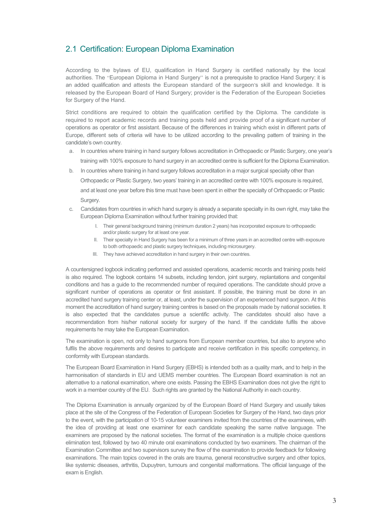# 2.1 Certification: European Diploma Examination

According to the bylaws of EU, qualification in Hand Surgery is certified nationally by the local authorities. The "European Diploma in Hand Surgery" is not a prerequisite to practice Hand Surgery: it is an added qualification and attests the European standard of the surgeon's skill and knowledge. It is released by the European Board of Hand Surgery; provider is the Federation of the European Societies for Surgery of the Hand.

Strict conditions are required to obtain the qualification certified by the Diploma. The candidate is required to report academic records and training posts held and provide proof of a significant number of operations as operator or first assistant. Because of the differences in training which exist in different parts of Europe, different sets of criteria will have to be utilized according to the prevailing pattern of training in the candidate's own country.

- a. In countries where training in hand surgery follows accreditation in Orthopaedic or Plastic Surgery, one year's training with 100% exposure to hand surgery in an accredited centre is sufficient for the Diploma Examination.
- b. In countries where training in hand surgery follows accreditation in a major surgical specialty other than Orthopaedic or Plastic Surgery, two years' training in an accredited centre with 100% exposure is required, and at least one year before this time must have been spent in either the specialty of Orthopaedic or Plastic Surgery.
- c. Candidates from countries in which hand surgery is already a separate specialty in its own right, may take the European Diploma Examination without further training provided that:
	- I. Their general background training (minimum duration 2 years) has incorporated exposure to orthopaedic and/or plastic surgery for at least one year.
	- II. Their specialty in Hand Surgery has been for a minimum of three years in an accredited centre with exposure to both orthopaedic and plastic surgery techniques, including microsurgery.
	- III. They have achieved accreditation in hand surgery in their own countries.

A countersigned logbook indicating performed and assisted operations, academic records and training posts held is also required. The logbook contains 14 subsets, including tendon, joint surgery, replantations and congenital conditions and has a guide to the recommended number of required operations. The candidate should prove a significant number of operations as operator or first assistant. If possible, the training must be done in an accredited hand surgery training center or, at least, under the supervision of an experienced hand surgeon. At this moment the accreditation of hand surgery training centres is based on the proposals made by national societies. It is also expected that the candidates pursue a scientific activity. The candidates should also have a recommendation from his/her national society for surgery of the hand. If the candidate fulfils the above requirements he may take the European Examination.

The examination is open, not only to hand surgeons from European member countries, but also to anyone who fulfils the above requirements and desires to participate and receive certification in this specific competency, in conformity with European standards.

The European Board Examination in Hand Surgery (EBHS) is intended both as a quality mark, and to help in the harmonisation of standards in EU and UEMS member countries. The European Board examination is not an alternative to a national examination, where one exists. Passing the EBHS Examination does not give the right to work in a member country of the EU. Such rights are granted by the National Authority in each country.

The Diploma Examination is annually organized by of the European Board of Hand Surgery and usually takes place at the site of the Congress of the Federation of European Societies for Surgery of the Hand, two days prior to the event, with the participation of 10-15 volunteer examiners invited from the countries of the examinees, with the idea of providing at least one examiner for each candidate speaking the same native language. The examiners are proposed by the national societies. The format of the examination is a multiple choice questions elimination test, followed by two 40 minute oral examinations conducted by two examiners. The chairman of the Examination Committee and two supervisors survey the flow of the examination to provide feedback for following examinations. The main topics covered in the orals are trauma, general reconstructive surgery and other topics, like systemic diseases, arthritis, Dupuytren, tumours and congenital malformations. The official language of the exam is English.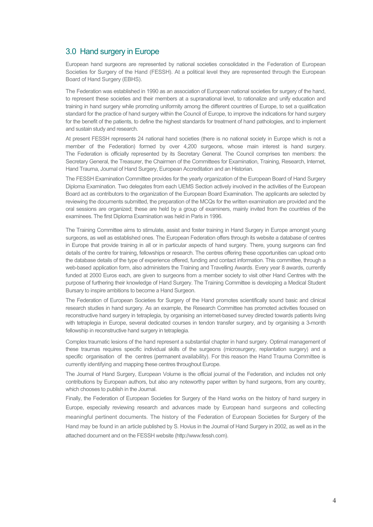#### 3.0 Hand surgery in Europe

European hand surgeons are represented by national societies consolidated in the Federation of European Societies for Surgery of the Hand (FESSH). At a political level they are represented through the European Board of Hand Surgery (EBHS).

The Federation was established in 1990 as an association of European national societies for surgery of the hand, to represent these societies and their members at a supranational level, to rationalize and unify education and training in hand surgery while promoting uniformity among the different countries of Europe, to set a qualification standard for the practice of hand surgery within the Council of Europe, to improve the indications for hand surgery for the benefit of the patients, to define the highest standards for treatment of hand pathologies, and to implement and sustain study and research.

At present FESSH represents 24 national hand societies (there is no national society in Europe which is not a member of the Federation) formed by over 4,200 surgeons, whose main interest is hand surgery. The Federation is officially represented by its Secretary General. The Council comprises ten members: the Secretary General, the Treasurer, the Chairmen of the Committees for Examination, Training, Research, Internet, Hand Trauma, Journal of Hand Surgery, European Accreditation and an Historian.

The FESSH Examination Committee provides for the yearly organization of the European Board of Hand Surgery Diploma Examination. Two delegates from each UEMS Section actively involved in the activities of the European Board act as contributors to the organization of the European Board Examination. The applicants are selected by reviewing the documents submitted, the preparation of the MCQs for the written examination are provided and the oral sessions are organized; these are held by a group of examiners, mainly invited from the countries of the examinees. The first Diploma Examination was held in Paris in 1996.

The Training Committee aims to stimulate, assist and foster training in Hand Surgery in Europe amongst young surgeons, as well as established ones. The European Federation offers through its website a database of centres in Europe that provide training in all or in particular aspects of hand surgery. There, young surgeons can find details of the centre for training, fellowships or research. The centres offering these opportunities can upload onto the database details of the type of experience offered, funding and contact information. This committee, through a web-based application form, also administers the Training and Travelling Awards. Every year 8 awards, currently funded at 2000 Euros each, are given to surgeons from a member society to visit other Hand Centres with the purpose of furthering their knowledge of Hand Surgery. The Training Committee is developing a Medical Student Bursary to inspire ambitions to become a Hand Surgeon.

The Federation of European Societies for Surgery of the Hand promotes scientifically sound basic and clinical research studies in hand surgery. As an example, the Research Committee has promoted activities focused on reconstructive hand surgery in tetraplegia, by organising an internet-based survey directed towards patients living with tetraplegia in Europe, several dedicated courses in tendon transfer surgery, and by organising a 3-month fellowship in reconstructive hand surgery in tetraplegia.

Complex traumatic lesions of the hand represent a substantial chapter in hand surgery. Optimal management of these traumas requires specific individual skills of the surgeons (microsurgery, replantation surgery) and a specific organisation of the centres (permanent availability). For this reason the Hand Trauma Committee is currently identifying and mapping these centres throughout Europe.

The Journal of Hand Surgery, European Volume is the official journal of the Federation, and includes not only contributions by European authors, but also any noteworthy paper written by hand surgeons, from any country, which chooses to publish in the Journal.

Finally, the Federation of European Societies for Surgery of the Hand works on the history of hand surgery in Europe, especially reviewing research and advances made by European hand surgeons and collecting meaningful pertinent documents. The history of the Federation of European Societies for Surgery of the Hand may be found in an article published by S. Hovius in the Journal of Hand Surgery in 2002, as well as in the attached document and on the FESSH website (http://www.fessh.com).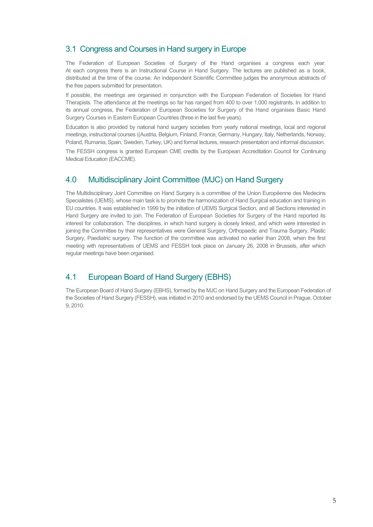## 3.1 Congress and Courses in Hand surgery in Europe

The Federation of European Societies of Surgery of the Hand organises a congress each year. At each congress there is an Instructional Course in Hand Surgery. The lectures are published as a book, distributed at the time of the course. An independent Scientific Committee judges the anonymous abstracts of the free papers submitted for presentation.

If possible, the meetings are organised in conjunction with the European Federation of Societies for Hand Therapists. The attendance at the meetings so far has ranged from 400 to over 1,000 registrants. In addition to its annual congress, the Federation of European Societies for Surgery of the Hand organises Basic Hand Surgery Courses in Eastern European Countries (three in the last five years).

Education is also provided by national hand surgery societies from yearly national meetings, local and regional meetings, instructional courses ((Austria, Belgium, Finland, France, Germany, Hungary, Italy, Netherlands, Norway, Poland, Rumania, Spain, Sweden, Turkey, UK) and formal lectures, research presentation and informal discussion.

The FESSH congress is granted European CME credits by the European Accreditation Council for Continuing Medical Education (EACCME).

# 4.0 Multidisciplinary Joint Committee (MJC) on Hand Surgery

The Multidisciplinary Joint Committee on Hand Surgery is a committee of the Union Européenne des Medecins Specialistes (UEMS), whose main task is to promote the harmonization of Hand Surgical education and training in EU countries. It was established in 1999 by the initiation of UEMS Surgical Section, and all Sections interested in Hand Surgery are invited to join. The Federation of European Societies for Surgery of the Hand reported its interest for collaboration. The disciplines, in which hand surgery is closely linked, and which were interested in joining the Committee by their representatives were General Surgery, Orthopaedic and Trauma Surgery, Plastic Surgery, Paediatric surgery. The function of the committee was activated no earlier than 2008, when the first meeting with representatives of UEMS and FESSH took place on January 26, 2008 in Brussels, after which regular meetings have been organised.

# 4.1 European Board of Hand Surgery (EBHS)

The European Board of Hand Surgery (EBHS), formed by the MJC on Hand Surgery and the European Federation of the Societies of Hand Surgery (FESSH), was initiated in 2010 and endorsed by the UEMS Council in Prague, October 9, 2010.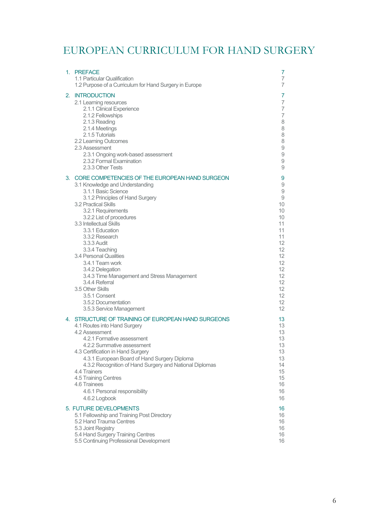# EUROPEAN CURRICULUM FOR HAND SURGERY

|    | 1. PREFACE<br>1.1 Particular Qualification<br>1.2 Purpose of a Curriculum for Hand Surgery in Europe                                                                                                                                                                                                                                                                                                                                                                                                                                                     | 7<br>7<br>7                                                                                                            |
|----|----------------------------------------------------------------------------------------------------------------------------------------------------------------------------------------------------------------------------------------------------------------------------------------------------------------------------------------------------------------------------------------------------------------------------------------------------------------------------------------------------------------------------------------------------------|------------------------------------------------------------------------------------------------------------------------|
|    | 2. INTRODUCTION<br>2.1 Learning resources<br>2.1.1 Clinical Experience<br>2.1.2 Fellowships<br>2.1.3 Reading<br>2.1.4 Meetings<br>2.1.5 Tutorials<br>2.2 Learning Outcomes<br>2.3 Assessment<br>2.3.1 Ongoing work-based assessment<br>2.3.2 Formal Examination<br>2.3.3 Other Tests                                                                                                                                                                                                                                                                     | 7<br>7<br>7<br>7<br>8<br>8<br>8<br>8<br>9<br>9<br>$\hbox{${\cal G}$}$<br>9                                             |
| 3. | CORE COMPETENCIES OF THE EUROPEAN HAND SURGEON<br>3.1 Knowledge and Understanding<br>3.1.1 Basic Science<br>3.1.2 Principles of Hand Surgery<br><b>3.2 Practical Skills</b><br>3.2.1 Requirements<br>3.2.2 List of procedures<br>3.3 Intellectual Skills<br>3.3.1 Education<br>3.3.2 Research<br>3.3.3 Audit<br>3.3.4 Teaching<br>3.4 Personal Qualities<br>3.4.1 Team work<br>3.4.2 Delegation<br>3.4.3 Time Management and Stress Management<br>3.4.4 Referral<br>3.5 Other Skills<br>3.5.1 Consent<br>3.5.2 Documentation<br>3.5.3 Service Management | 9<br>9<br>9<br>9<br>10<br>10<br>10<br>11<br>11<br>11<br>12<br>12<br>12<br>12<br>12<br>12<br>12<br>12<br>12<br>12<br>12 |
|    | 4. STRUCTURE OF TRAINING OF EUROPEAN HAND SURGEONS<br>4.1 Routes into Hand Surgery<br>4.2 Assessment<br>4.2.1 Formative assessment<br>4.2.2 Summative assessment<br>4.3 Certification in Hand Surgery<br>4.3.1 European Board of Hand Surgery Diploma<br>4.3.2 Recognition of Hand Surgery and National Diplomas<br>4.4 Trainers<br>4.5 Training Centres<br>4.6 Trainees<br>4.6.1 Personal responsibility<br>4.6.2 Logbook                                                                                                                               | 13<br>13<br>13<br>13<br>13<br>13<br>13<br>14<br>15<br>15<br>16<br>16<br>16                                             |
|    | 5. FUTURE DEVELOPMENTS<br>5.1 Fellowship and Training Post Directory<br>5.2 Hand Trauma Centres<br>5.3 Joint Registry<br>5.4 Hand Surgery Training Centres<br>5.5 Continuing Professional Development                                                                                                                                                                                                                                                                                                                                                    | 16<br>16<br>16<br>16<br>16<br>16                                                                                       |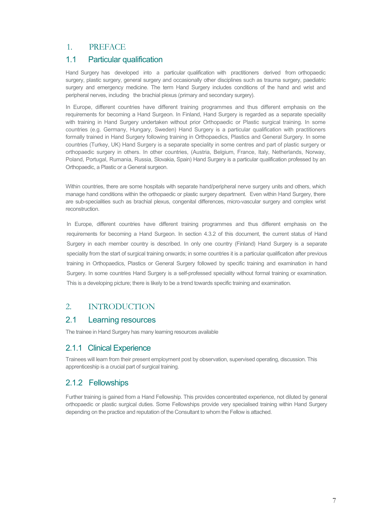## 1. PREFACE

## 1.1 Particular qualification

Hand Surgery has developed into a particular qualification with practitioners derived from orthopaedic surgery, plastic surgery, general surgery and occasionally other disciplines such as trauma surgery, paediatric surgery and emergency medicine. The term Hand Surgery includes conditions of the hand and wrist and peripheral nerves, including the brachial plexus (primary and secondary surgery).

In Europe, different countries have different training programmes and thus different emphasis on the requirements for becoming a Hand Surgeon. In Finland, Hand Surgery is regarded as a separate speciality with training in Hand Surgery undertaken without prior Orthopaedic or Plastic surgical training. In some countries (e.g. Germany, Hungary, Sweden) Hand Surgery is a particular qualification with practitioners formally trained in Hand Surgery following training in Orthopaedics, Plastics and General Surgery. In some countries (Turkey, UK) Hand Surgery is a separate speciality in some centres and part of plastic surgery or orthopaedic surgery in others. In other countries, (Austria, Belgium, France, Italy, Netherlands, Norway, Poland, Portugal, Rumania, Russia, Slovakia, Spain) Hand Surgery is a particular qualification professed by an Orthopaedic, a Plastic or a General surgeon.

Within countries, there are some hospitals with separate hand/peripheral nerve surgery units and others, which manage hand conditions within the orthopaedic or plastic surgery department. Even within Hand Surgery, there are sub-specialities such as brachial plexus, congenital differences, micro-vascular surgery and complex wrist reconstruction.

In Europe, different countries have different training programmes and thus different emphasis on the requirements for becoming a Hand Surgeon. In section 4.3.2 of this document, the current status of Hand Surgery in each member country is described. In only one country (Finland) Hand Surgery is a separate speciality from the start of surgical training onwards; in some countries it is a particular qualification after previous training in Orthopaedics, Plastics or General Surgery followed by specific training and examination in hand Surgery. In some countries Hand Surgery is a self-professed speciality without formal training or examination. This is a developing picture; there is likely to be a trend towards specific training and examination.

# 2. INTRODUCTION

## 2.1 Learning resources

The trainee in Hand Surgery has many learning resources available

# 2.1.1 Clinical Experience

Trainees will learn from their present employment post by observation, supervised operating, discussion. This apprenticeship is a crucial part of surgical training.

## 2.1.2 Fellowships

Further training is gained from a Hand Fellowship. This provides concentrated experience, not diluted by general orthopaedic or plastic surgical duties. Some Fellowships provide very specialised training within Hand Surgery depending on the practice and reputation of the Consultant to whom the Fellow is attached.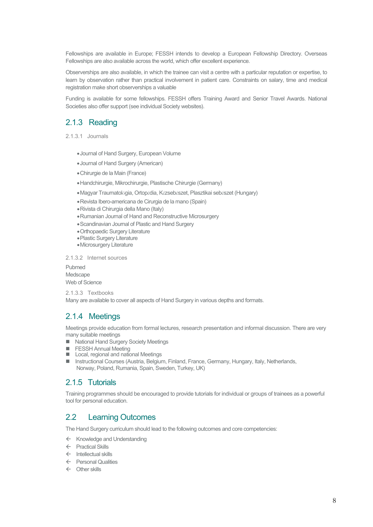Fellowships are available in Europe; FESSH intends to develop a European Fellowship Directory. Overseas Fellowships are also available across the world, which offer excellent experience.

Observerships are also available, in which the trainee can visit a centre with a particular reputation or expertise, to learn by observation rather than practical involvement in patient care. Constraints on salary, time and medical registration make short observerships a valuable

Funding is available for some fellowships. FESSH offers Training Award and Senior Travel Awards. National Societies also offer support (see individual Society websites).

## 2.1.3 Reading

2.1.3.1 Journals

- •Journal of Hand Surgery, European Volume
- •Journal of Hand Surgery (American)
- •Chirurgie de la Main (France)
- •Handchirurgie, Mikrochirurgie, Plastische Chirurgie (Germany)
- •Magyar Traumatológia, Ortopédia, Kézsebészet, Plasztikai sebészet (Hungary)
- •Revista Ibero-americana de Cirurgia de la mano (Spain)
- •Rivista di Chirurgia della Mano (Italy)
- •Rumanian Journal of Hand and Reconstructive Microsurgery
- •Scandinavian Journal of Plastic and Hand Surgery
- •Orthopaedic Surgery Literature
- •Plastic Surgery Literature
- •Microsurgery Literature

2.1.3.2 Internet sources

Pubmed Medscape Web of Science

2.1.3.3 Textbooks Many are available to cover all aspects of Hand Surgery in various depths and formats.

## 2.1.4 Meetings

Meetings provide education from formal lectures, research presentation and informal discussion. There are very many suitable meetings

- National Hand Surgery Society Meetings
- **FESSH Annual Meeting**
- Local, regional and national Meetings
- Instructional Courses (Austria, Belgium, Finland, France, Germany, Hungary, Italy, Netherlands, Norway, Poland, Rumania, Spain, Sweden, Turkey, UK)

#### 2.1.5 Tutorials

Training programmes should be encouraged to provide tutorials for individual or groups of trainees as a powerful tool for personal education.

#### 2.2 Learning Outcomes

The Hand Surgery curriculum should lead to the following outcomes and core competencies:

- $\leftarrow$  Knowledge and Understanding
- $\leftarrow$  Practical Skills
- $\leftarrow$  Intellectual skills
- $\leftarrow$  Personal Qualities
- $\leftarrow$  Other skills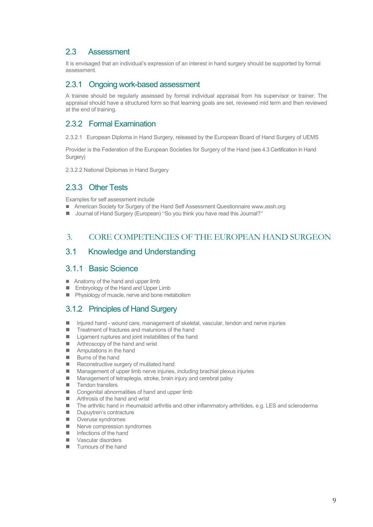# 2.3 Assessment

It is envisaged that an individual's expression of an interest in hand surgery should be supported by formal assessment.

#### 2.3.1 Ongoing work-based assessment

A trainee should be regularly assessed by formal individual appraisal from his supervisor or trainer. The appraisal should have a structured form so that learning goals are set, reviewed mid term and then reviewed at the end of training.

# 2.3.2 Formal Examination

2.3.2.1 European Diploma in Hand Surgery, released by the European Board of Hand Surgery of UEMS

Provider is the Federation of the European Societies for Surgery of the Hand (see 4.3 Certification in Hand Surgery)

2.3.2.2 National Diplomas in Hand Surgery

# 2.3.3 Other Tests

Examples for self assessment include

- American Society for Surgery of the Hand Self Assessment Questionnaire www.assh.org
- Journal of Hand Surgery (European) "So you think you have read this Journal?"

## 3. CORE COMPETENCIES OF THE EUROPEAN HAND SURGEON

#### 3.1 Knowledge and Understanding

#### 3.1.1 Basic Science

- Anatomy of the hand and upper limb
- **Embryology of the Hand and Upper Limb**
- **Physiology of muscle, nerve and bone metabolism**

## 3.1.2 Principles of Hand Surgery

- Injured hand wound care, management of skeletal, vascular, tendon and nerve injuries
- Treatment of fractures and malunions of the hand
- Ligament ruptures and joint instabilities of the hand
- **Arthroscopy of the hand and wrist**
- **Amputations in the hand**
- **Burns of the hand**
- Reconstructive surgery of mutilated hand
- Management of upper limb nerve injuries, including brachial plexus injuries
- Management of tetraplegia, stroke, brain injury and cerebral palsy
- $\blacksquare$  Tendon transfers
- Congenital abnormalities of hand and upper limb
- **Arthrosis of the hand and wrist**
- The arthritic hand in rheumatoid arthritis and other inflammatory arthritides, e.g. LES and scleroderma
- Dupuytren's contracture
- **Nank Overuse syndromes**
- Nerve compression syndromes
- Infections of the hand
- **Vascular disorders**
- **Tumours of the hand**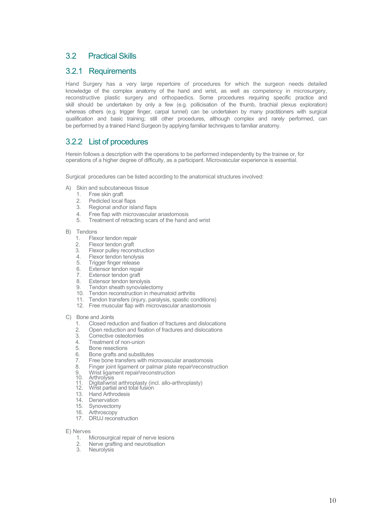## 3.2 Practical Skills

#### 3.2.1 Requirements

Hand Surgery has a very large repertoire of procedures for which the surgeon needs detailed knowledge of the complex anatomy of the hand and wrist, as well as competency in microsurgery, reconstructive plastic surgery and orthopaedics. Some procedures requiring specific practice and skill should be undertaken by only a few (e.g. pollicisation of the thumb, brachial plexus exploration) whereas others (e.g. trigger finger, carpal tunnel) can be undertaken by many practitioners with surgical qualification and basic training; still other procedures, although complex and rarely performed, can be performed by a trained Hand Surgeon by applying familiar techniques to familiar anatomy.

## 3.2.2 List of procedures

Herein follows a description with the operations to be performed independently by the trainee or, for operations of a higher degree of difficulty, as a participant. Microvascular experience is essential.

Surgical procedures can be listed according to the anatomical structures involved:

- A) Skin and subcutaneous tissue
	-
	- 1. Free skin graft<br>2. Pedicled local
	- 2. Pedicled local flaps<br>3. Regional and/or isla Regional and\or island flaps
	- 4. Free flap with microvascular anastomosis<br>5. Treatment of retracting scars of the band
	- Treatment of retracting scars of the hand and wrist
- B) Tendons
	- 1. Flexor tendon repair<br>2. Flexor tendon graft
	- 2. Flexor tendon graft<br>3. Flexor pulley recons
	- 3. Flexor pulley reconstruction<br>4. Flexor tendon tenolysis
	- 4. Flexor tendon tenolysis<br>5. Trigger finger release
	- 5. Trigger finger release
	-
	- 6. Extensor tendon repair<br>7. Extensor tendon graft 7. Extensor tendon graft<br>8. Extensor tendon tenol
	- Extensor tendon tenolysis
	- 9. Tendon sheath synovialectomy
	- 10. Tendon reconstruction in rheumatoid arthritis
	- 11. Tendon transfers (injury, paralysis, spastic conditions)
	- 12. Free muscular flap with microvascular anastomosis
- C) Bone and Joints
	- 1. Closed reduction and fixation of fractures and dislocations
	- 2. Open reduction and fixation of fractures and dislocations
	- Corrective osteotomies
	- 4. Treatment of non-union<br>5. Bone resections
	-
	- 5. Bone resections<br>6. Bone grafts and 6. Bone grafts and substitutes<br>7. Free bone transfers with mi
	- 7. Free bone transfers with microvascular anastomosis<br>8. Finger joint ligament or palmar plate repair/reconstr
	- 8. Finger joint ligament or palmar plate repair\reconstruction<br>9. Wrist ligament repair\reconstruction<br>10. Arthrolysis
	-
	-
	- 9. Writing arthrolysis 10. Arthrolysis 11. Digital\wrist arthroplasty (incl. allo-arthroplasty) 12. Wrist partial and total fusion 13. Hand Arthrodesis
	-
	- 13. Hand Arthrodesis<br>14 Denervation
	- Denervation
	- 15. Synovectomy
	- 16. Arthroscopy
	- 17. DRUJ reconstruction

E) Nerves

- 1. Microsurgical repair of nerve lesions<br>2. Nerve grafting and neurotisation
- 2. Nerve grafting and neurotisation<br>3. Neurolysis
- **Neurolysis**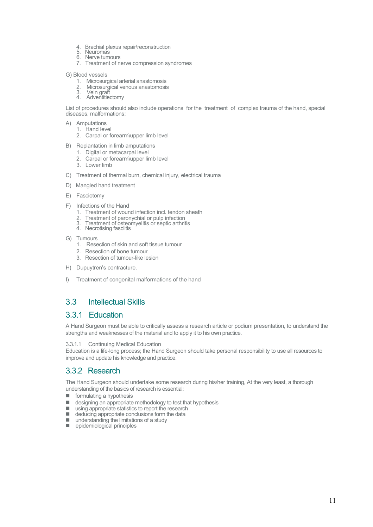- 4. Brachial plexus repair\reconstruction
- 5. Neuromas 6. Nerve tumours
- 7. Treatment of nerve compression syndromes
- G) Blood vessels
	-
	- 1. Microsurgical arterial anastomosis<br>
	2. Microsurgical venous anastomosis<br>
	3. Vein graft Microsurgical venous anastomosis
	- 3. Vein graft<br>4. Adventitier
	- **Adventitiectomy**

List of procedures should also include operations for the treatment of complex trauma of the hand, special diseases, malformations:

- A) Amputations
	- 1. Hand level
	- 2. Carpal or forearm\upper limb level
- B) Replantation in limb amputations
	- 1. Digital or metacarpal level
	- 2. Carpal or forearm\upper limb level
	- 3. Lower limb
- C) Treatment of thermal burn, chemical injury, electrical trauma
- D) Mangled hand treatment
- E) Fasciotomy
- F) Infections of the Hand
	- 1. Treatment of wound infection incl. tendon sheath<br>2. Treatment of paronychial or pulp infection
	- Treatment of paronychial or pulp infection<br>Treatment of osteomyelitis or septic arthritis
	- $\overline{3}$ . Treatment or useptic 4. Necrotising fasciitis
	-
- G) Tumours
	- 1. Resection of skin and soft tissue tumour
	- 2. Resection of bone tumour
	- 3. Resection of tumour-like lesion
- H) Dupuytren's contracture.
- I) Treatment of congenital malformations of the hand

## 3.3 Intellectual Skills

#### 3.3.1 Education

A Hand Surgeon must be able to critically assess a research article or podium presentation, to understand the strengths and weaknesses of the material and to apply it to his own practice.

#### 3.3.1.1 Continuing Medical Education

Education is a life-long process; the Hand Surgeon should take personal responsibility to use all resources to improve and update his knowledge and practice.

#### 3.3.2 Research

The Hand Surgeon should undertake some research during his/her training, At the very least, a thorough understanding of the basics of research is essential:

- $\blacksquare$  formulating a hypothesis
- $\Box$  designing an appropriate methodology to test that hypothesis
- using appropriate statistics to report the research
- deducing appropriate conclusions form the data
- understanding the limitations of a study
- pidemiological principles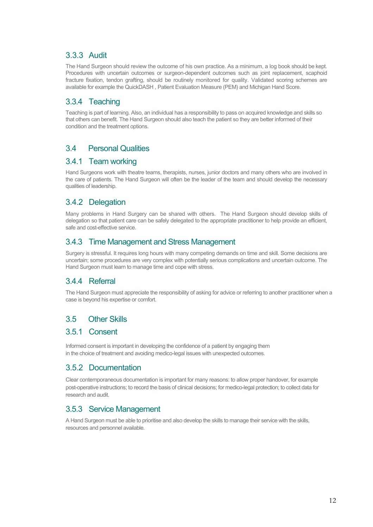# 3.3.3 Audit

The Hand Surgeon should review the outcome of his own practice. As a minimum, a log book should be kept. Procedures with uncertain outcomes or surgeon-dependent outcomes such as joint replacement, scaphoid fracture fixation, tendon grafting, should be routinely monitored for quality. Validated scoring schemes are available for example the QuickDASH , Patient Evaluation Measure (PEM) and Michigan Hand Score.

# 3.3.4 Teaching

Teaching is part of learning. Also, an individual has a responsibility to pass on acquired knowledge and skills so that others can benefit. The Hand Surgeon should also teach the patient so they are better informed of their condition and the treatment options.

# 3.4 Personal Qualities

#### 3.4.1 Team working

Hand Surgeons work with theatre teams, therapists, nurses, junior doctors and many others who are involved in the care of patients. The Hand Surgeon will often be the leader of the team and should develop the necessary qualities of leadership.

## 3.4.2 Delegation

Many problems in Hand Surgery can be shared with others. The Hand Surgeon should develop skills of delegation so that patient care can be safely delegated to the appropriate practitioner to help provide an efficient, safe and cost-effective service.

## 3.4.3 Time Management and Stress Management

Surgery is stressful. It requires long hours with many competing demands on time and skill. Some decisions are uncertain; some procedures are very complex with potentially serious complications and uncertain outcome. The Hand Surgeon must learn to manage time and cope with stress.

## 3.4.4 Referral

The Hand Surgeon must appreciate the responsibility of asking for advice or referring to another practitioner when a case is beyond his expertise or comfort.

# 3.5 Other Skills

#### 3.5.1 Consent

Informed consent is important in developing the confidence of a patient by engaging them in the choice of treatment and avoiding medico-legal issues with unexpected outcomes.

## 3.5.2 Documentation

Clear contemporaneous documentation is important for many reasons: to allow proper handover, for example post-operative instructions; to record the basis of clinical decisions; for medico-legal protection; to collect data for research and audit.

## 3.5.3 Service Management

A Hand Surgeon must be able to prioritise and also develop the skills to manage their service with the skills, resources and personnel available.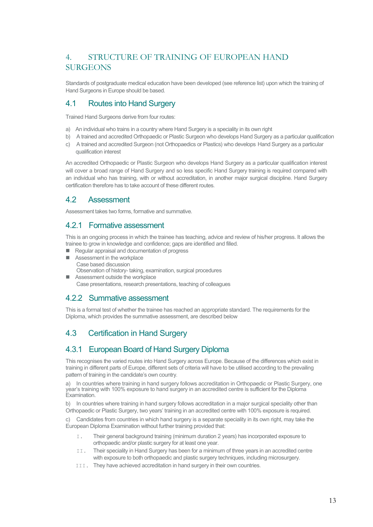# 4. STRUCTURE OF TRAINING OF EUROPEAN HAND **SURGEONS**

Standards of postgraduate medical education have been developed (see reference list) upon which the training of Hand Surgeons in Europe should be based.

## 4.1 Routes into Hand Surgery

Trained Hand Surgeons derive from four routes:

- a) An individual who trains in a country where Hand Surgery is a speciality in its own right
- b) A trained and accredited Orthopaedic or Plastic Surgeon who develops Hand Surgery as a particular qualification
- c) A trained and accredited Surgeon (not Orthopaedics or Plastics) who develops Hand Surgery as a particular qualification interest

An accredited Orthopaedic or Plastic Surgeon who develops Hand Surgery as a particular qualification interest will cover a broad range of Hand Surgery and so less specific Hand Surgery training is required compared with an individual who has training, with or without accreditation, in another major surgical discipline. Hand Surgery certification therefore has to take account of these different routes.

#### 4.2 Assessment

Assessment takes two forms, formative and summative.

## 4.2.1 Formative assessment

This is an ongoing process in which the trainee has teaching, advice and review of his/her progress. It allows the trainee to grow in knowledge and confidence; gaps are identified and filled.

- Regular appraisal and documentation of progress
- Assessment in the workplace Case based discussion Observation of history- taking, examination, surgical procedures
- Assessment outside the workplace Case presentations, research presentations, teaching of colleagues

## 4.2.2 Summative assessment

This is a formal test of whether the trainee has reached an appropriate standard. The requirements for the Diploma, which provides the summative assessment, are described below

# 4.3 Certification in Hand Surgery

## 4.3.1 European Board of Hand Surgery Diploma

This recognises the varied routes into Hand Surgery across Europe. Because of the differences which exist in training in different parts of Europe, different sets of criteria will have to be utilised according to the prevailing pattern of training in the candidate's own country.

a) In countries where training in hand surgery follows accreditation in Orthopaedic or Plastic Surgery, one year's training with 100% exposure to hand surgery in an accredited centre is sufficient for the Diploma Examination.

b) In countries where training in hand surgery follows accreditation in a major surgical speciality other than Orthopaedic or Plastic Surgery, two years' training in an accredited centre with 100% exposure is required.

c) Candidates from countries in which hand surgery is a separate speciality in its own right, may take the European Diploma Examination without further training provided that:

- I. Their general background training (minimum duration 2 years) has incorporated exposure to orthopaedic and/or plastic surgery for at least one year.
- II. Their speciality in Hand Surgery has been for a minimum of three years in an accredited centre with exposure to both orthopaedic and plastic surgery techniques, including microsurgery.
- III. They have achieved accreditation in hand surgery in their own countries.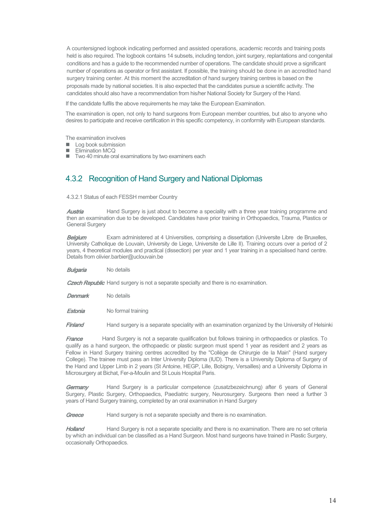A countersigned logbook indicating performed and assisted operations, academic records and training posts held is also required. The logbook contains 14 subsets, including tendon, joint surgery, replantations and congenital conditions and has a guide to the recommended number of operations. The candidate should prove a significant number of operations as operator or first assistant. If possible, the training should be done in an accredited hand surgery training center. At this moment the accreditation of hand surgery training centres is based on the proposals made by national societies. It is also expected that the candidates pursue a scientific activity. The candidates should also have a recommendation from his/her National Society for Surgery of the Hand.

If the candidate fulfils the above requirements he may take the European Examination.

The examination is open, not only to hand surgeons from European member countries, but also to anyone who desires to participate and receive certification in this specific competency, in conformity with European standards.

The examination involves

- $\Box$  Log book submission
- Elimination MCQ
- Two 40 minute oral examinations by two examiners each

# 4.3.2 Recognition of Hand Surgery and National Diplomas

4.3.2.1 Status of each FESSH member Country

**Austria** Hand Surgery is just about to become a speciality with a three year training programme and then an examination due to be developed. Candidates have prior training in Orthopaedics, Trauma, Plastics or General Surgery

**Belgium** Exam administered at 4 Universities, comprising a dissertation (Universite Libre de Bruxelles, University Catholique de Louvain, University de Liege, Universite de Lille II). Training occurs over a period of 2 years, 4 theoretical modules and practical (dissection) per year and 1 year training in a specialised hand centre. Details from olivier.barbier@uclouvain.be

**Bulgaria** No details

**Czech Republic** Hand surgery is not a separate specialty and there is no examination.

Denmark No details

**Estonia** No formal training

Finland Hand surgery is a separate speciality with an examination organized by the University of Helsinki

France Hand Surgery is not a separate qualification but follows training in orthopaedics or plastics. To qualify as a hand surgeon, the orthopaedic or plastic surgeon must spend 1 year as resident and 2 years as Fellow in Hand Surgery training centres accredited by the "Collège de Chirurgie de la Main" (Hand surgery College). The trainee must pass an Inter University Diploma (IUD). There is a University Diploma of Surgery of the Hand and Upper Limb in 2 years (St Antoine, HEGP, Lille, Bobigny, Versailles) and a University Diploma in Microsurgery at Bichat, Fer-a-Moulin and St Louis Hospital Paris.

Germany Hand Surgery is a particular competence (zusatzbezeichnung) after 6 years of General Surgery, Plastic Surgery, Orthopaedics, Paediatric surgery, Neurosurgery. Surgeons then need a further 3 years of Hand Surgery training, completed by an oral examination in Hand Surgery

Greece Hand surgery is not a separate specialty and there is no examination.

Holland Hand Surgery is not a separate speciality and there is no examination. There are no set criteria by which an individual can be classified as a Hand Surgeon. Most hand surgeons have trained in Plastic Surgery, occasionally Orthopaedics.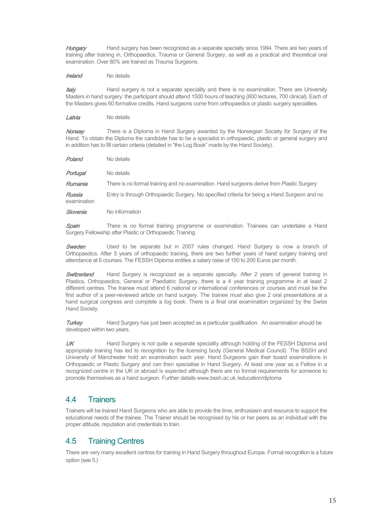Hungary Hand surgery has been recognized as a separate specialty since 1994. There are two years of training after training in, Orthopaedics, Trauma or General Surgery, as well as a practical and theoretical oral examination. Over 80% are trained as Trauma Surgeons.

Ireland No details

**Italy** Hand surgery is not a separate speciality and there is no examination. There are University Masters in hand surgery: the participant should attend 1500 hours of teaching (800 lectures, 700 clinical). Each of the Masters gives 60 formative credits. Hand surgeons come from orthopaedics or plastic surgery specialties.

Latvia No details

Norway There is a Diploma in Hand Surgery awarded by the Norwegian Society for Surgery of the Hand. To obtain the Diploma the candidate has to be a specialist in orthopaedic, plastic or general surgery and in addition has to fill certain criteria (detailed in "the Log Book" made by the Hand Society).

| Poland                | No details                                                                                  |
|-----------------------|---------------------------------------------------------------------------------------------|
| Portugal              | No details                                                                                  |
| Rumania               | There is no formal training and no examination. Hand surgeons derive from Plastic Surgery   |
| Russia<br>examination | Entry is through Orthopaedic Surgery. No specified criteria for being a Hand Surgeon and no |
| Slovenia              | No information                                                                              |

Spain There is no formal training programme or examination. Trainees can undertake a Hand Surgery Fellowship after Plastic or Orthopaedic Training.

**Sweden** Used to be separate but in 2007 rules changed. Hand Surgery is now a branch of Orthopaedics. After 5 years of orthopaedic training, there are two further years of hand surgery training and attendance at 6 courses. The FESSH Diploma entitles a salary raise of 150 to 200 Euros per month.

**Switzerland** Hand Surgery is recognized as a separate specialty. After 2 years of general training in Plastics, Orthopaedics, General or Paediatric Surgery, there is a 4 year training programme in at least 2 different centres. The trainee must attend 6 national or international conferences or courses and must be the first author of a peer-reviewed article on hand surgery. The trainee must also give 2 oral presentations at a hand surgical congress and complete a log book. There is a final oral examination organized by the Swiss Hand Society.

**Turkey** Hand Surgery has just been accepted as a particular qualification. An examination should be developed within two years.

UK Hand Surgery is not quite a separate speciality although holding of the FESSH Diploma and appropriate training has led to recognition by the licensing body (General Medical Council). The BSSH and University of Manchester hold an examination each year. Hand Surgeons gain their board examinations in Orthopaedic or Plastic Surgery and can then specialise in Hand Surgery. At least one year as a Fellow in a recognized centre in the UK or abroad is expected although there are no formal requirements for someone to promote themselves as a hand surgeon. Further details www.bssh.ac.uk /education/diploma

#### 4.4 Trainers

Trainers will be trained Hand Surgeons who are able to provide the time, enthusiasm and resource to support the educational needs of the trainee. The Trainer should be recognised by his or her peers as an individual with the proper attitude, reputation and credentials to train.

## 4.5 Training Centres

There are very many excellent centres for training in Hand Surgery throughout Europe. Formal recognition is a future option (see 5.)